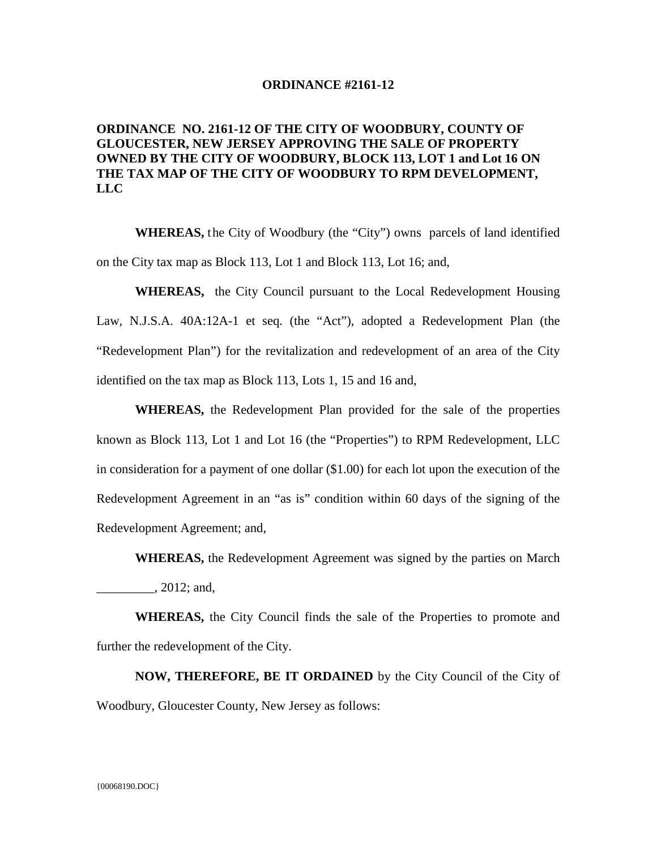## **ORDINANCE #2161-12**

## **ORDINANCE NO. 2161-12 OF THE CITY OF WOODBURY, COUNTY OF GLOUCESTER, NEW JERSEY APPROVING THE SALE OF PROPERTY OWNED BY THE CITY OF WOODBURY, BLOCK 113, LOT 1 and Lot 16 ON THE TAX MAP OF THE CITY OF WOODBURY TO RPM DEVELOPMENT, LLC**

**WHEREAS,** the City of Woodbury (the "City") owns parcels of land identified on the City tax map as Block 113, Lot 1 and Block 113, Lot 16; and,

**WHEREAS,** the City Council pursuant to the Local Redevelopment Housing Law, N.J.S.A. 40A:12A-1 et seq. (the "Act"), adopted a Redevelopment Plan (the "Redevelopment Plan") for the revitalization and redevelopment of an area of the City identified on the tax map as Block 113, Lots 1, 15 and 16 and,

**WHEREAS,** the Redevelopment Plan provided for the sale of the properties known as Block 113, Lot 1 and Lot 16 (the "Properties") to RPM Redevelopment, LLC in consideration for a payment of one dollar (\$1.00) for each lot upon the execution of the Redevelopment Agreement in an "as is" condition within 60 days of the signing of the Redevelopment Agreement; and,

**WHEREAS,** the Redevelopment Agreement was signed by the parties on March \_\_\_\_\_\_\_\_\_, 2012; and,

**WHEREAS,** the City Council finds the sale of the Properties to promote and further the redevelopment of the City.

**NOW, THEREFORE, BE IT ORDAINED** by the City Council of the City of Woodbury, Gloucester County, New Jersey as follows: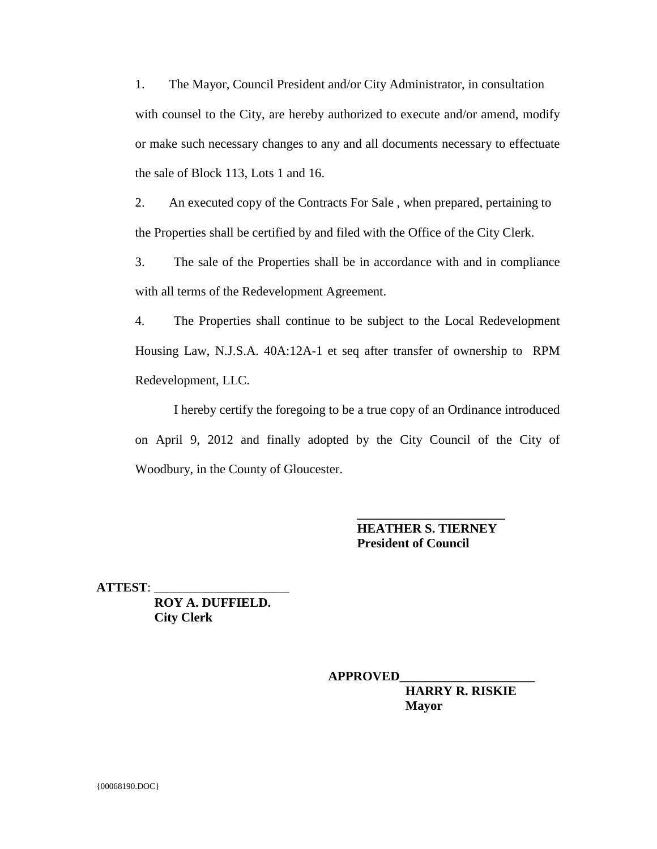1. The Mayor, Council President and/or City Administrator, in consultation with counsel to the City, are hereby authorized to execute and/or amend, modify or make such necessary changes to any and all documents necessary to effectuate the sale of Block 113, Lots 1 and 16.

2. An executed copy of the Contracts For Sale , when prepared, pertaining to the Properties shall be certified by and filed with the Office of the City Clerk.

3. The sale of the Properties shall be in accordance with and in compliance with all terms of the Redevelopment Agreement.

4. The Properties shall continue to be subject to the Local Redevelopment Housing Law, N.J.S.A. 40A:12A-1 et seq after transfer of ownership to RPM Redevelopment, LLC.

I hereby certify the foregoing to be a true copy of an Ordinance introduced on April 9, 2012 and finally adopted by the City Council of the City of Woodbury, in the County of Gloucester.

> **HEATHER S. TIERNEY President of Council**

 **\_\_\_\_\_\_\_\_\_\_\_\_\_\_\_\_\_\_\_\_\_\_\_**

**ATTEST**: \_\_\_\_\_\_\_\_\_\_\_\_\_\_\_\_\_\_\_\_\_

 **ROY A. DUFFIELD. City Clerk**

**APPROVED\_\_\_\_\_\_\_\_\_\_\_\_\_\_\_\_\_\_\_\_\_**

**HARRY R. RISKIE Mayor**